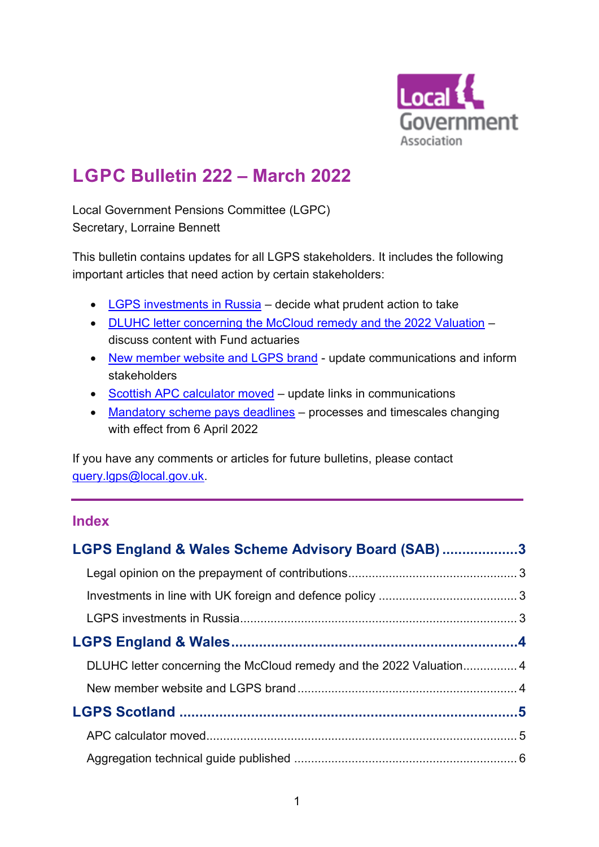

# **LGPC Bulletin 222 – March 2022**

Local Government Pensions Committee (LGPC) Secretary, Lorraine Bennett

This bulletin contains updates for all LGPS stakeholders. It includes the following important articles that need action by certain stakeholders:

- [LGPS investments in Russia](#page-2-0) decide what prudent action to take
- [DLUHC letter concerning the McCloud remedy and the 2022 Valuation](#page-3-0) discuss content with Fund actuaries
- [New member website and LGPS brand](#page-3-1) update communications and inform stakeholders
- Scottish APC [calculator moved](#page-4-0) update links in communications
- [Mandatory scheme pays deadlines](#page-5-0) processes and timescales changing with effect from 6 April 2022

If you have any comments or articles for future bulletins, please contact [query.lgps@local.gov.uk.](mailto:query.lgps@local.gov.uk)

# **Index**

| LGPS England & Wales Scheme Advisory Board (SAB)3 |  |
|---------------------------------------------------|--|
|                                                   |  |
|                                                   |  |
|                                                   |  |
|                                                   |  |
|                                                   |  |
|                                                   |  |
|                                                   |  |
|                                                   |  |
|                                                   |  |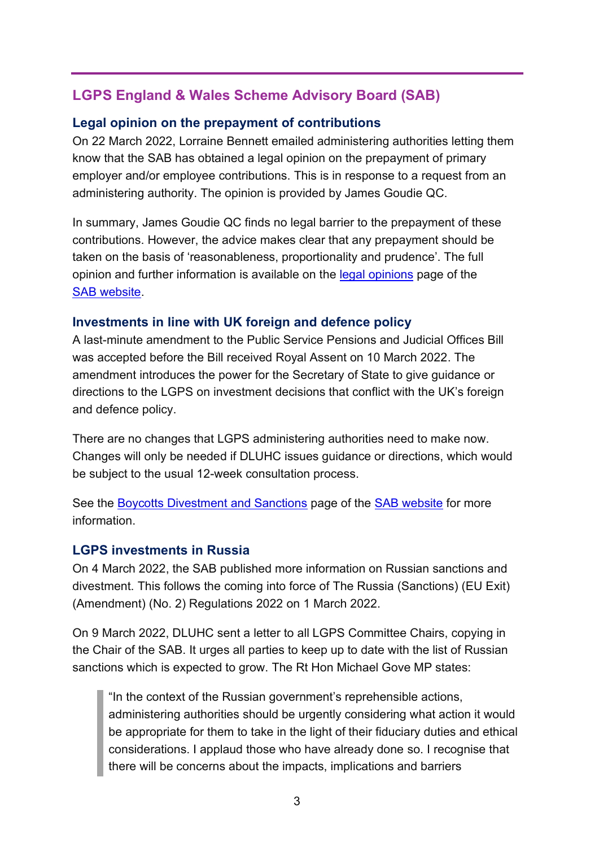# <span id="page-2-1"></span>**LGPS England & Wales Scheme Advisory Board (SAB)**

## <span id="page-2-0"></span>**Legal opinion on the prepayment of contributions**

On 22 March 2022, Lorraine Bennett emailed administering authorities letting them know that the SAB has obtained a legal opinion on the prepayment of primary employer and/or employee contributions. This is in response to a request from an administering authority. The opinion is provided by James Goudie QC.

In summary, James Goudie QC finds no legal barrier to the prepayment of these contributions. However, the advice makes clear that any prepayment should be taken on the basis of 'reasonableness, proportionality and prudence'. The full opinion and further information is available on the [legal opinions](https://www.lgpsboard.org/index.php/board-publications/legal-opinions) page of the [SAB website.](https://www.lgpsboard.org/)

# <span id="page-2-2"></span>**Investments in line with UK foreign and defence policy**

A last-minute amendment to the Public Service Pensions and Judicial Offices Bill was accepted before the Bill received Royal Assent on 10 March 2022. The amendment introduces the power for the Secretary of State to give guidance or directions to the LGPS on investment decisions that conflict with the UK's foreign and defence policy.

There are no changes that LGPS administering authorities need to make now. Changes will only be needed if DLUHC issues guidance or directions, which would be subject to the usual 12-week consultation process.

See the [Boycotts Divestment and Sanctions](https://www.lgpsboard.org/index.php/structure-reform/bds-main) page of the [SAB website](https://www.lgpsboard.org/) for more information.

# <span id="page-2-3"></span>**LGPS investments in Russia**

On 4 March 2022, the SAB published more information on Russian sanctions and divestment. This follows the coming into force of The Russia (Sanctions) (EU Exit) (Amendment) (No. 2) Regulations 2022 on 1 March 2022.

On 9 March 2022, DLUHC sent a letter to all LGPS Committee Chairs, copying in the Chair of the SAB. It urges all parties to keep up to date with the list of Russian sanctions which is expected to grow. The Rt Hon Michael Gove MP states:

"In the context of the Russian government's reprehensible actions, administering authorities should be urgently considering what action it would be appropriate for them to take in the light of their fiduciary duties and ethical considerations. I applaud those who have already done so. I recognise that there will be concerns about the impacts, implications and barriers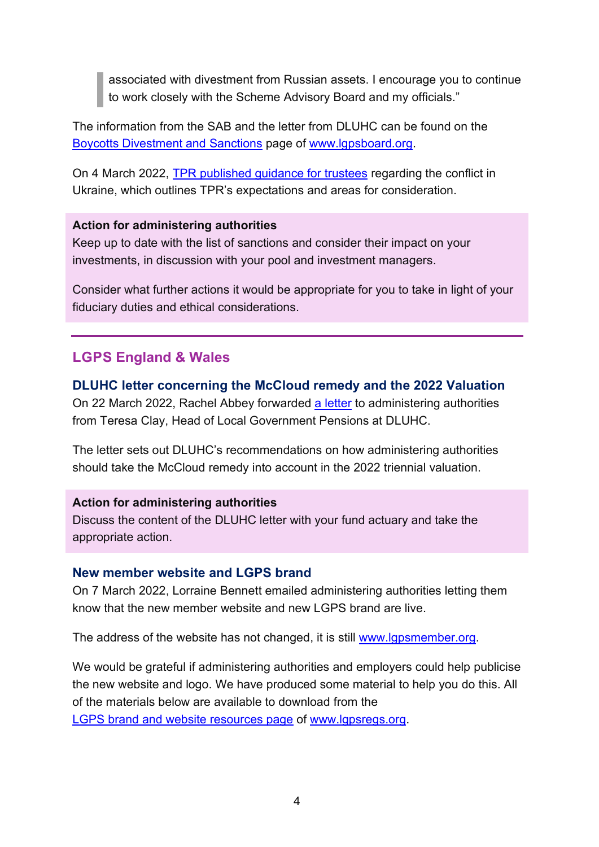associated with divestment from Russian assets. I encourage you to continue to work closely with the Scheme Advisory Board and my officials."

The information from the SAB and the letter from DLUHC can be found on the [Boycotts Divestment and Sanctions](https://www.lgpsboard.org/index.php/structure-reform/bds-main) page of [www.lgpsboard.org.](http://www.lgpsboard.org/)

On 4 March 2022, [TPR published guidance for trustees](https://www.thepensionsregulator.gov.uk/en/trustees/russia-ukraine-conflict) regarding the conflict in Ukraine, which outlines TPR's expectations and areas for consideration.

#### **Action for administering authorities**

Keep up to date with the list of sanctions and consider their impact on your investments, in discussion with your pool and investment managers.

Consider what further actions it would be appropriate for you to take in light of your fiduciary duties and ethical considerations.

# <span id="page-3-2"></span>**LGPS England & Wales**

#### <span id="page-3-0"></span>**DLUHC letter concerning the McCloud remedy and the 2022 Valuation**

On 22 March 2022, Rachel Abbey forwarded [a letter](https://lgpslibrary.org/assets/bulletins/2022/222AppA.pdf) to administering authorities from Teresa Clay, Head of Local Government Pensions at DLUHC.

The letter sets out DLUHC's recommendations on how administering authorities should take the McCloud remedy into account in the 2022 triennial valuation.

#### **Action for administering authorities**

Discuss the content of the DLUHC letter with your fund actuary and take the appropriate action.

#### <span id="page-3-1"></span>**New member website and LGPS brand**

On 7 March 2022, Lorraine Bennett emailed administering authorities letting them know that the new member website and new LGPS brand are live.

The address of the website has not changed, it is still [www.lgpsmember.org.](http://www.lgpsmember.org/)

We would be grateful if administering authorities and employers could help publicise the new website and logo. We have produced some material to help you do this. All of the materials below are available to download from the

[LGPS brand and website resources page](https://www.lgpsregs.org/resources/branding.php) of [www.lgpsregs.org.](http://www.lgpsregs.org/)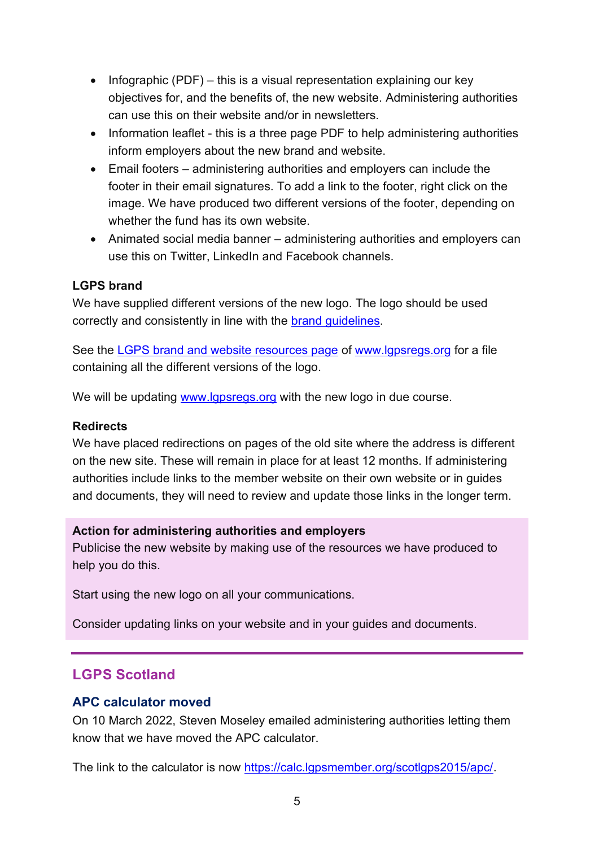- Infographic (PDF) this is a visual representation explaining our key objectives for, and the benefits of, the new website. Administering authorities can use this on their website and/or in newsletters.
- Information leaflet this is a three page PDF to help administering authorities inform employers about the new brand and website.
- Email footers administering authorities and employers can include the footer in their email signatures. To add a link to the footer, right click on the image. We have produced two different versions of the footer, depending on whether the fund has its own website.
- Animated social media banner administering authorities and employers can use this on Twitter, LinkedIn and Facebook channels.

#### **LGPS brand**

We have supplied different versions of the new logo. The logo should be used correctly and consistently in line with the [brand guidelines.](https://lgpslibrary.org/assets/branding/LGPS_BrandGuidelines.pdf)

See the [LGPS brand and website resources page](https://www.lgpsregs.org/resources/branding.php) of [www.lgpsregs.org](http://www.lgpsregs.org/) for a file containing all the different versions of the logo.

We will be updating [www.lgpsregs.org](http://www.lgpsregs.org/) with the new logo in due course.

#### **Redirects**

We have placed redirections on pages of the old site where the address is different on the new site. These will remain in place for at least 12 months. If administering authorities include links to the member website on their own website or in guides and documents, they will need to review and update those links in the longer term.

#### **Action for administering authorities and employers**

Publicise the new website by making use of the resources we have produced to help you do this.

Start using the new logo on all your communications.

Consider updating links on your website and in your guides and documents.

# <span id="page-4-1"></span>**LGPS Scotland**

#### <span id="page-4-0"></span>**APC calculator moved**

On 10 March 2022, Steven Moseley emailed administering authorities letting them know that we have moved the APC calculator.

The link to the calculator is now [https://calc.lgpsmember.org/scotlgps2015/apc/.](https://calc.lgpsmember.org/scotlgps2015/apc/)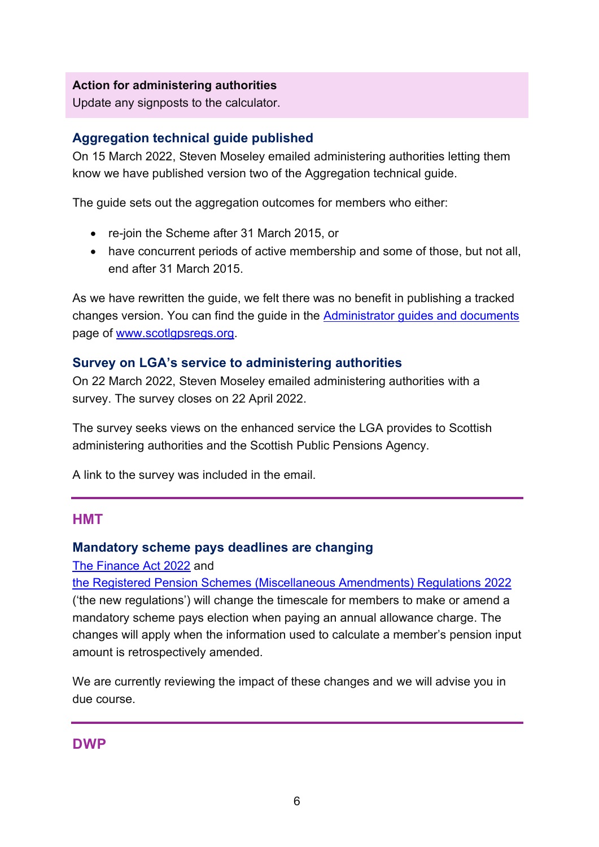#### **Action for administering authorities**

Update any signposts to the calculator.

#### <span id="page-5-1"></span>**Aggregation technical guide published**

On 15 March 2022, Steven Moseley emailed administering authorities letting them know we have published version two of the Aggregation technical guide.

The guide sets out the aggregation outcomes for members who either:

- re-join the Scheme after 31 March 2015, or
- have concurrent periods of active membership and some of those, but not all, end after 31 March 2015.

As we have rewritten the guide, we felt there was no benefit in publishing a tracked changes version. You can find the guide in the [Administrator guides and documents](https://scotlgpsregs.org/resources/guidesetc.php) page of [www.scotlgpsregs.org.](http://www.scotlgpsregs.org/)

#### <span id="page-5-2"></span>**Survey on LGA's service to administering authorities**

On 22 March 2022, Steven Moseley emailed administering authorities with a survey. The survey closes on 22 April 2022.

The survey seeks views on the enhanced service the LGA provides to Scottish administering authorities and the Scottish Public Pensions Agency.

A link to the survey was included in the email.

#### <span id="page-5-3"></span>**HMT**

#### <span id="page-5-0"></span>**Mandatory scheme pays deadlines are changing**

[The Finance Act 2022](https://www.legislation.gov.uk/ukpga/2022/3/contents/enacted) and

[the Registered Pension Schemes \(Miscellaneous Amendments\) Regulations](https://www.legislation.gov.uk/uksi/2022/392/contents/made) 2022 ('the new regulations') will change the timescale for members to make or amend a mandatory scheme pays election when paying an annual allowance charge. The changes will apply when the information used to calculate a member's pension input amount is retrospectively amended.

We are currently reviewing the impact of these changes and we will advise you in due course.

#### <span id="page-5-4"></span>**DWP**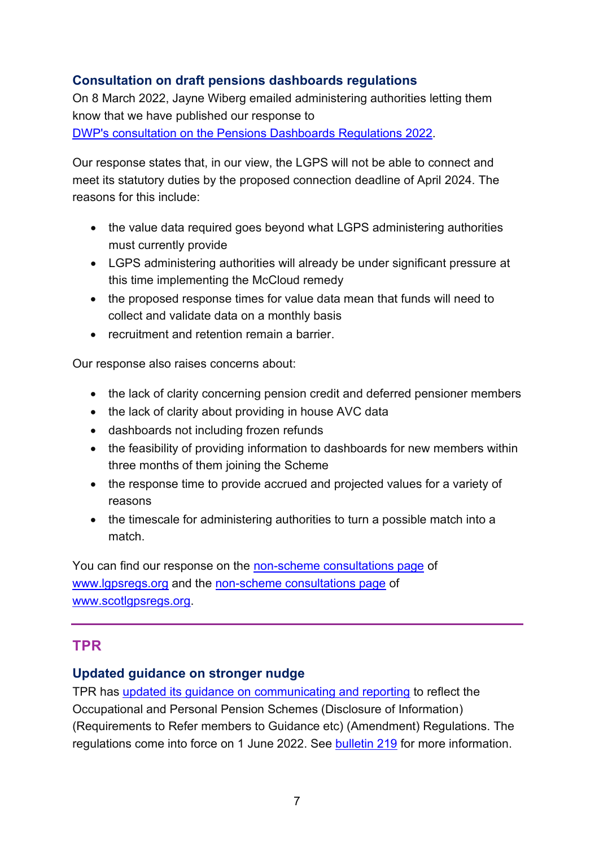# <span id="page-6-0"></span>**Consultation on draft pensions dashboards regulations**

On 8 March 2022, Jayne Wiberg emailed administering authorities letting them know that we have published our response to [DWP's consultation on the Pensions Dashboards Regulations 2022.](https://www.gov.uk/government/consultations/pensions-dashboards-consultation-on-the-draft-pensions-dashboards-regulations-2022)

Our response states that, in our view, the LGPS will not be able to connect and meet its statutory duties by the proposed connection deadline of April 2024. The reasons for this include:

- the value data required goes beyond what LGPS administering authorities must currently provide
- LGPS administering authorities will already be under significant pressure at this time implementing the McCloud remedy
- the proposed response times for value data mean that funds will need to collect and validate data on a monthly basis
- recruitment and retention remain a barrier.

Our response also raises concerns about:

- the lack of clarity concerning pension credit and deferred pensioner members
- the lack of clarity about providing in house AVC data
- dashboards not including frozen refunds
- the feasibility of providing information to dashboards for new members within three months of them joining the Scheme
- the response time to provide accrued and projected values for a variety of reasons
- the timescale for administering authorities to turn a possible match into a match.

You can find our response on the [non-scheme consultations page](https://www.lgpsregs.org/landscape/consultations.php) of [www.lgpsregs.org](http://www.lgpsregs.org/) and the [non-scheme consultations page](https://www.scotlgpsregs.org/landscape/consultations.php) of [www.scotlgpsregs.org.](http://www.scotlgpsregs.org/)

## <span id="page-6-1"></span>**TPR**

#### <span id="page-6-2"></span>**Updated guidance on stronger nudge**

TPR has updated its guidance on [communicating and reporting](https://www.thepensionsregulator.gov.uk/en/document-library/scheme-management-detailed-guidance/communications-and-reporting-detailed-guidance/6-communicating-and-reporting) to reflect the Occupational and Personal Pension Schemes (Disclosure of Information) (Requirements to Refer members to Guidance etc) (Amendment) Regulations. The regulations come into force on 1 June 2022. See [bulletin 219](https://lgpslibrary.org/assets/bulletins/2022/219.pdf) for more information.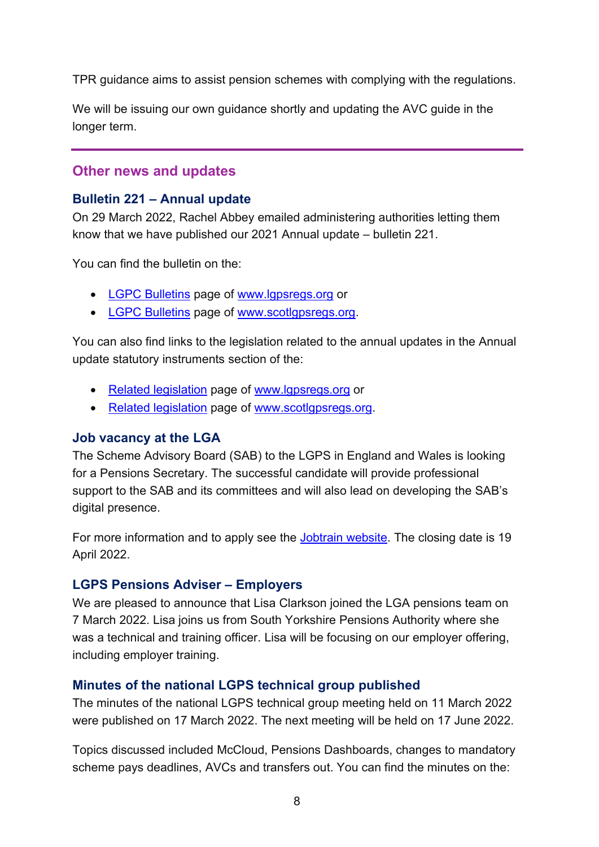TPR guidance aims to assist pension schemes with complying with the regulations.

We will be issuing our own guidance shortly and updating the AVC guide in the longer term.

# <span id="page-7-0"></span>**Other news and updates**

### <span id="page-7-1"></span>**Bulletin 221 – Annual update**

On 29 March 2022, Rachel Abbey emailed administering authorities letting them know that we have published our 2021 Annual update – bulletin 221.

You can find the bulletin on the:

- [LGPC Bulletins](https://www.lgpsregs.org/bulletinsetc/bulletins.php) page of [www.lgpsregs.org](http://www.lgpsregs.org/) or
- [LGPC Bulletins](https://scotlgpsregs.org/bulletinsetc/bulletins.php) page of [www.scotlgpsregs.org.](http://www.scotlgpsregs.org/)

You can also find links to the legislation related to the annual updates in the Annual update statutory instruments section of the:

- [Related legislation](https://www.lgpsregs.org/landscape/relatedleg.php) page of [www.lgpsregs.org](http://www.lgpsregs.org/) or
- [Related legislation](https://scotlgpsregs.org/landscape/relatedleg.php) page of [www.scotlgpsregs.org.](http://www.scotlgpsregs.org/)

#### <span id="page-7-2"></span>**Job vacancy at the LGA**

The Scheme Advisory Board (SAB) to the LGPS in England and Wales is looking for a Pensions Secretary. The successful candidate will provide professional support to the SAB and its committees and will also lead on developing the SAB's digital presence.

For more information and to apply see the [Jobtrain website.](https://www.jobtrain.co.uk/lga/displayjob.aspx?jobid=1492) The closing date is 19 April 2022.

## <span id="page-7-3"></span>**LGPS Pensions Adviser – Employers**

We are pleased to announce that Lisa Clarkson joined the LGA pensions team on 7 March 2022. Lisa joins us from South Yorkshire Pensions Authority where she was a technical and training officer. Lisa will be focusing on our employer offering, including employer training.

## <span id="page-7-4"></span>**Minutes of the national LGPS technical group published**

The minutes of the national LGPS technical group meeting held on 11 March 2022 were published on 17 March 2022. The next meeting will be held on 17 June 2022.

Topics discussed included McCloud, Pensions Dashboards, changes to mandatory scheme pays deadlines, AVCs and transfers out. You can find the minutes on the: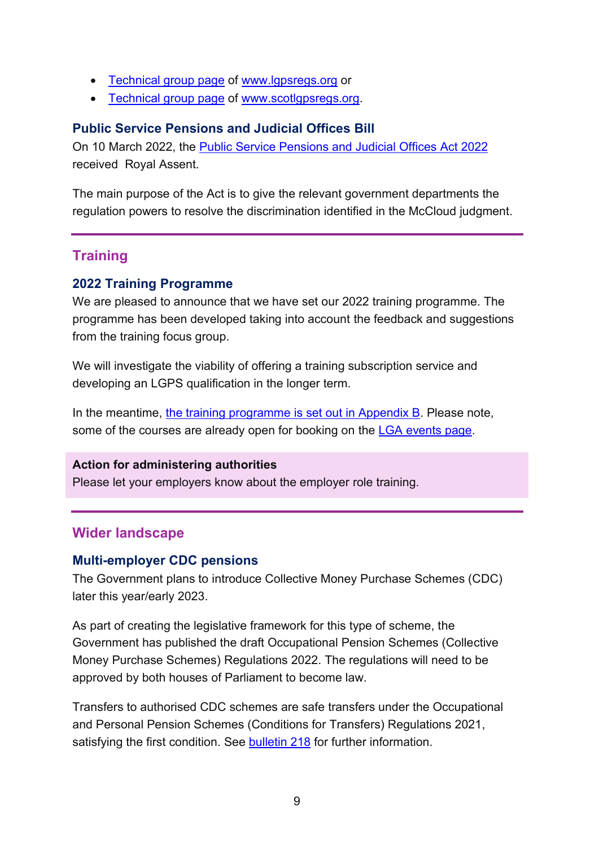- [Technical group](https://www.lgpsregs.org/bulletinsetc/tgminutes.php) page of [www.lgpsregs.org](http://www.lgpsregs.org/) or
- [Technical group](https://www.scotlgpsregs.org/bulletinsetc/tgminutes.php) page of [www.scotlgpsregs.org.](http://www.scotlgpsregs.org/)

#### <span id="page-8-0"></span>**Public Service Pensions and Judicial Offices Bill**

On 10 March 2022, the [Public Service Pensions and Judicial Offices Act 2022](https://www.legislation.gov.uk/ukpga/2022/7/contents/enacted) received Royal Assent.

The main purpose of the Act is to give the relevant government departments the regulation powers to resolve the discrimination identified in the McCloud judgment.

# <span id="page-8-1"></span>**Training**

#### <span id="page-8-2"></span>**2022 Training Programme**

We are pleased to announce that we have set our 2022 training programme. The programme has been developed taking into account the feedback and suggestions from the training focus group.

We will investigate the viability of offering a training subscription service and developing an LGPS qualification in the longer term.

In the meantime, [the training programme is set out in Appendix B.](https://lgpslibrary.org/assets/bulletins/2022/222AppB.pdf) Please note, some of the courses are already open for booking on the [LGA events page.](https://www.local.gov.uk/events)

#### **Action for administering authorities**

Please let your employers know about the employer role training.

#### <span id="page-8-3"></span>**Wider landscape**

#### <span id="page-8-4"></span>**Multi-employer CDC pensions**

The Government plans to introduce Collective Money Purchase Schemes (CDC) later this year/early 2023.

As part of creating the legislative framework for this type of scheme, the Government has published the draft Occupational Pension Schemes (Collective Money Purchase Schemes) Regulations 2022. The regulations will need to be approved by both houses of Parliament to become law.

Transfers to authorised CDC schemes are safe transfers under the Occupational and Personal Pension Schemes (Conditions for Transfers) Regulations 2021, satisfying the first condition. See [bulletin 218](https://lgpslibrary.org/assets/bulletins/2021/218.pdf) for further information.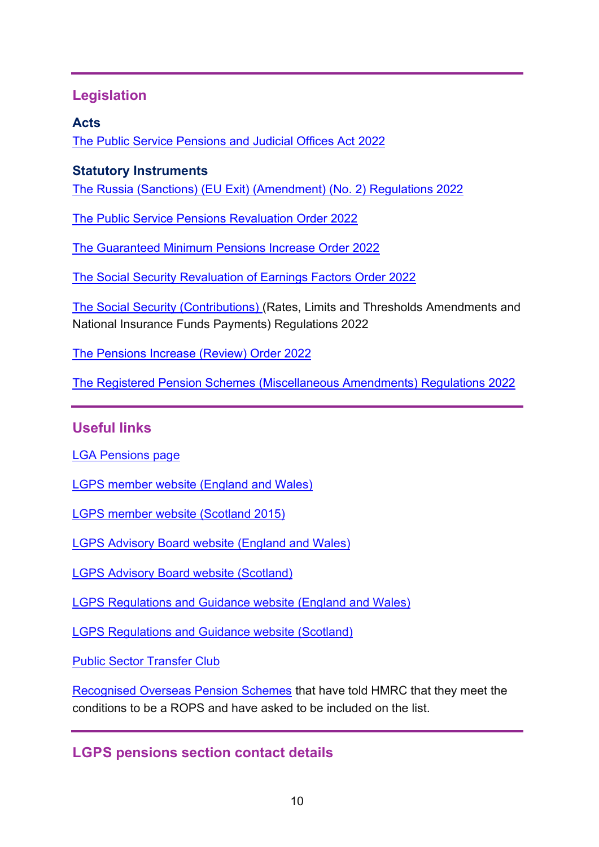# <span id="page-9-0"></span>**Legislation**

# <span id="page-9-1"></span>**Acts**

[The Public Service Pensions and Judicial Offices Act 2022](https://www.legislation.gov.uk/ukpga/2022/7/contents/enacted)

# <span id="page-9-2"></span>**Statutory Instruments**

[The Russia \(Sanctions\) \(EU Exit\) \(Amendment\) \(No. 2\) Regulations 2022](https://www.legislation.gov.uk/uksi/2022/194/contents/made)

[The Public Service Pensions Revaluation Order 2022](https://www.legislation.gov.uk/uksi/2022/215/contents/made)

[The Guaranteed Minimum Pensions Increase Order 2022](https://www.legislation.gov.uk/uksi/2022/297/contents/made)

[The Social Security Revaluation of Earnings Factors Order 2022](https://www.legislation.gov.uk/uksi/2022/216/contents/made)

[The Social Security \(Contributions\) \(](https://www.legislation.gov.uk/uksi/2022/232/contents/made)Rates, Limits and Thresholds Amendments and National Insurance Funds Payments) Regulations 2022

[The Pensions Increase \(Review\) Order 2022](https://www.legislation.gov.uk/uksi/2022/333/contents/made)

[The Registered Pension Schemes \(Miscellaneous Amendments\) Regulations 2022](https://www.legislation.gov.uk/uksi/2022/392/contents/made)

# <span id="page-9-3"></span>**Useful links**

[LGA Pensions page](https://local.gov.uk/our-support/workforce-and-hr-support/local-government-pensions)

[LGPS member website \(England and Wales\)](https://www.lgpsmember.org/)

[LGPS member website \(Scotland 2015\)](http://www.scotlgps2015.org/)

[LGPS Advisory Board website \(England and Wales\)](http://www.lgpsboard.org/)

[LGPS Advisory Board website \(Scotland\)](http://lgpsab.scot/)

[LGPS Regulations and Guidance website \(England and Wales\)](http://www.lgpsregs.org/)

[LGPS Regulations and Guidance website \(Scotland\)](http://www.scotlgpsregs.org/)

[Public Sector Transfer Club](http://www.civilservicepensionscheme.org.uk/members/public-sector-transfer-club/)

[Recognised Overseas Pension Schemes](http://www.hmrc.gov.uk/pensionschemes/qrops-list.htm) that have told HMRC that they meet the conditions to be a ROPS and have asked to be included on the list.

# <span id="page-9-4"></span>**LGPS pensions section contact details**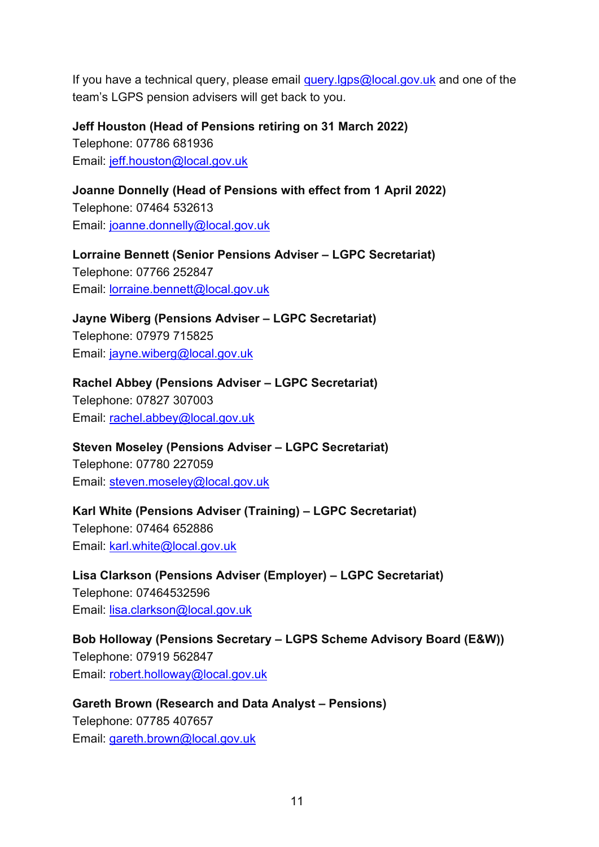If you have a technical query, please email query.  $gps@local.gov.uk$  and one of the team's LGPS pension advisers will get back to you.

**Jeff Houston (Head of Pensions retiring on 31 March 2022)** Telephone: 07786 681936 Email: [jeff.houston@local.gov.uk](mailto:jeff.houston@local.gov.uk)

**Joanne Donnelly (Head of Pensions with effect from 1 April 2022)** Telephone: 07464 532613 Email: [joanne.donnelly@local.gov.uk](mailto:joanne.donnelly@local.gov.uk)

**Lorraine Bennett (Senior Pensions Adviser – LGPC Secretariat)** Telephone: 07766 252847 Email: [lorraine.bennett@local.gov.uk](mailto:lorraine.bennett@local.gov.uk)

**Jayne Wiberg (Pensions Adviser – LGPC Secretariat)** Telephone: 07979 715825 Email: [jayne.wiberg@local.gov.uk](mailto:jayne.wiberg@local.gov.uk)

**Rachel Abbey (Pensions Adviser – LGPC Secretariat)**

Telephone: 07827 307003 Email: [rachel.abbey@local.gov.uk](mailto:rachel.abbey@local.gov.uk)

**Steven Moseley (Pensions Adviser – LGPC Secretariat)**

Telephone: 07780 227059 Email: [steven.moseley@local.gov.uk](mailto:steven.moseley@local.gov.uk)

**Karl White (Pensions Adviser (Training) – LGPC Secretariat)** Telephone: 07464 652886 Email: [karl.white@local.gov.uk](mailto:karl.white@local.gov.uk)

**Lisa Clarkson (Pensions Adviser (Employer) – LGPC Secretariat)** Telephone: 07464532596 Email: [lisa.clarkson@local.gov.uk](mailto:lisa.clarkson@local.gov.uk)

**Bob Holloway (Pensions Secretary – LGPS Scheme Advisory Board (E&W))** Telephone: 07919 562847 Email: [robert.holloway@local.gov.uk](mailto:robert.holloway@local.gov.uk)

**Gareth Brown (Research and Data Analyst - Pensions)** Telephone: 07785 407657 Email: [gareth.brown@local.gov.uk](mailto:gareth.brown@local.gov.uk)